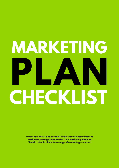## **MARKETING PLAN CHECKLIST**

**Different markets and products likely require vastly different marketing strategies and tactics. So a Marketing Planning Checklist should allow for a range of marketing scenarios.**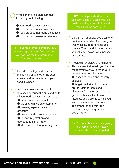Write a marketing plan summary, including the following;

● your food business overview ● food product market overview ● food product marketing objectives ● food product marketing strategy

**HINT!** Complete your summary last, even though it comes first, that way you can use the key information from your detailed plan.

Provide a background analysis including a snapshot of the past, current and future status of your food business.

Include an overview of your food business covering the nuts and bolts of you food business and product;

● name, location, contact

● vision and mission statements ● owners, experience and

structure

● product and/or service outline ● licence, registration and accreditation information

● short term and long term goals

**HINT!** Detail your short term and long term goals in a table with the goal/objective, a description and when it will be completed.

Do a SWOT analysis. Use a table to outline all your identified strengths, weaknesses, opportunities and threats. Then detail how and when you will address any weaknesses and threats.

Provide an overview of the market. This is essential to help you find the most effective way to reach your target customers. Include;

● market research and industry analysis

● target market and customer profile - demographic and lifestyle information such as age, gender, ethnicity, location or interests and a profile to help you visualise your ideal customer

 $\bullet$  competitor analysis - their market share, strengths and weaknesses

**HINT!** Revisit this process regularly to ensure that your strategy remains relevant and targeted.